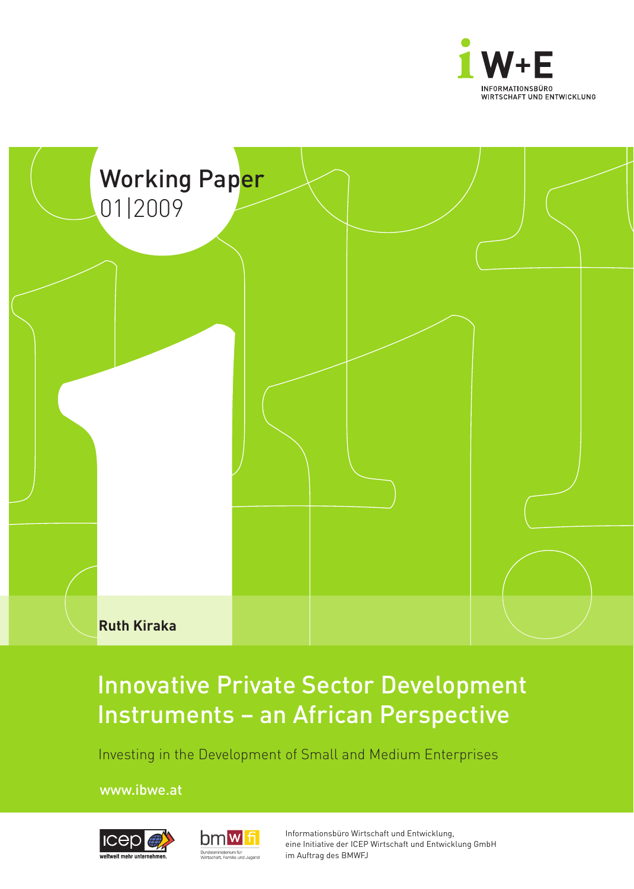



# Innovative Private Sector Development Instruments – an African Perspective

Investing in the Development of Small and Medium Enterprises

www.ibwe.at





Informationsbüro Wirtschaft und Entwicklung, eine Initiative der ICEP Wirtschaft und Entwicklung GmbH im Auftrag des BMWFJ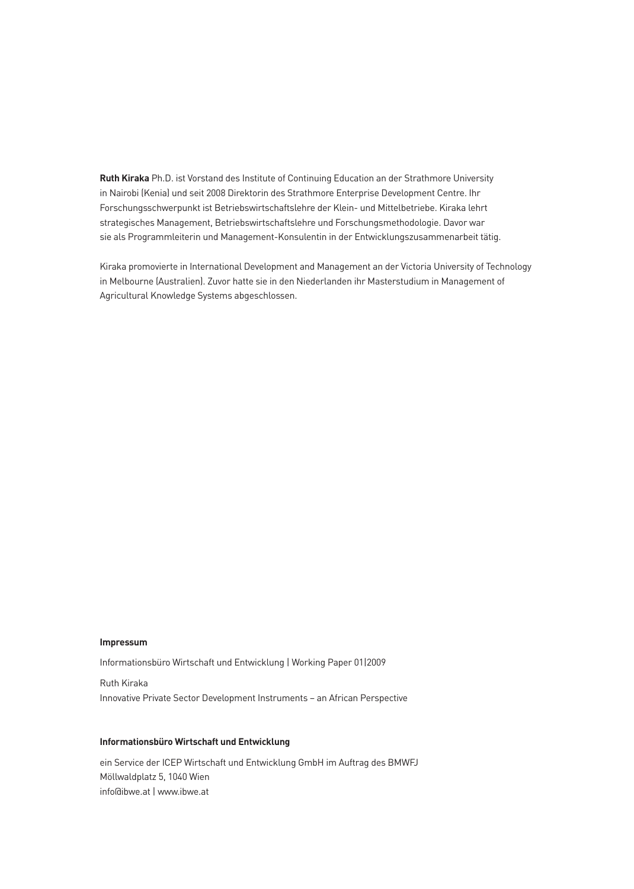**Ruth Kiraka** Ph.D. ist Vorstand des Institute of Continuing Education an der Strathmore University in Nairobi (Kenia) und seit 2008 Direktorin des Strathmore Enterprise Development Centre. Ihr Forschungsschwerpunkt ist Betriebswirtschaftslehre der Klein- und Mittelbetriebe. Kiraka lehrt strategisches Management, Betriebswirtschaftslehre und Forschungsmethodologie. Davor war sie als Programmleiterin und Management-Konsulentin in der Entwicklungszusammenarbeit tätig.

Kiraka promovierte in International Development and Management an der Victoria University of Technology in Melbourne (Australien). Zuvor hatte sie in den Niederlanden ihr Masterstudium in Management of Agricultural Knowledge Systems abgeschlossen.

### **Impressum**

Informationsbüro Wirtschaft und Entwicklung | Working Paper 01|2009

Ruth Kiraka Innovative Private Sector Development Instruments – an African Perspective

## **Informationsbüro Wirtschaft und Entwicklung**

ein Service der ICEP Wirtschaft und Entwicklung GmbH im Auftrag des BMWFJ Möllwaldplatz 5, 1040 Wien info@ibwe.at | www.ibwe.at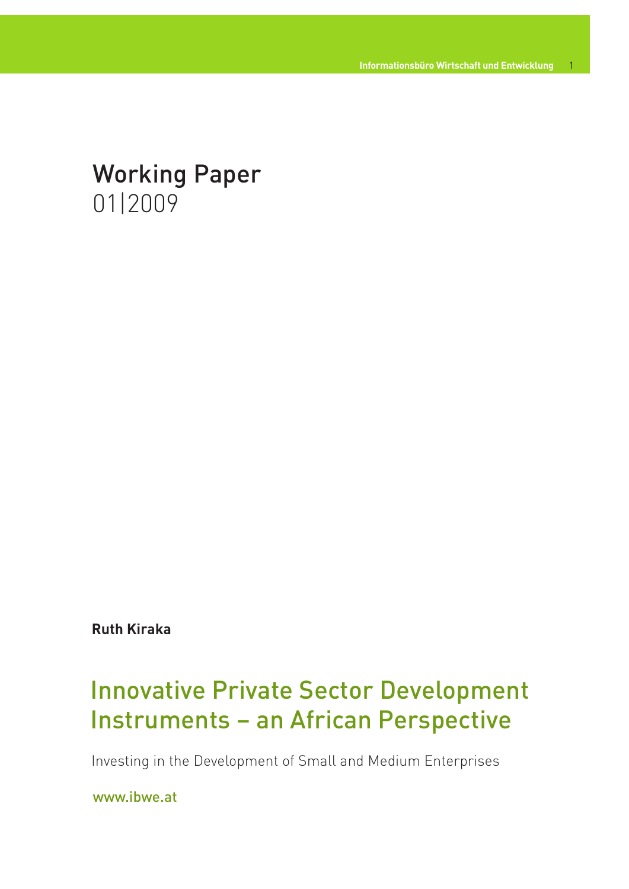# Working Paper 01|2009

**Ruth Kiraka**

# Innovative Private Sector Development Instruments – an African Perspective

Investing in the Development of Small and Medium Enterprises

www.ibwe.at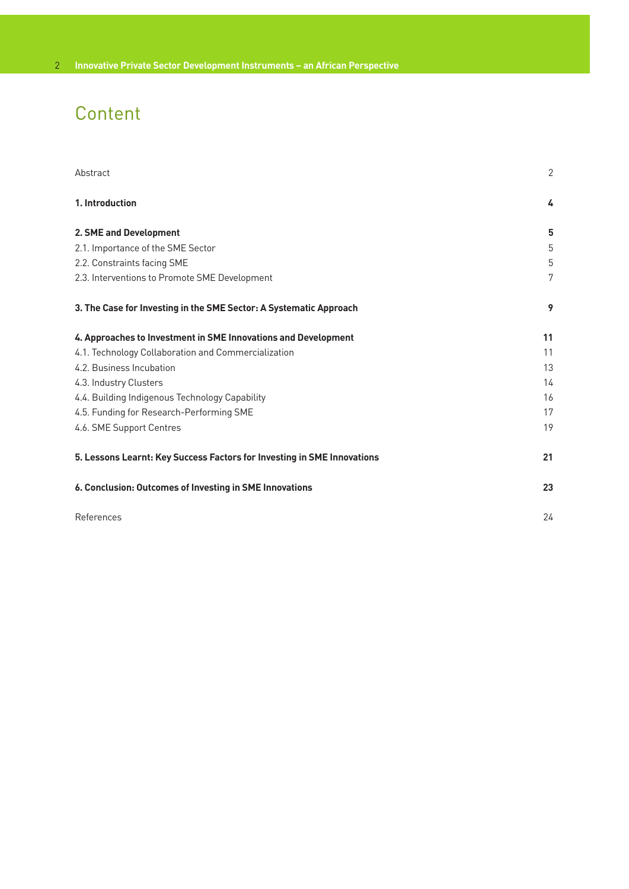## Content

| Abstract                                                                | $\overline{2}$ |
|-------------------------------------------------------------------------|----------------|
| 1. Introduction                                                         | 4              |
| 2. SME and Development                                                  | 5              |
| 2.1. Importance of the SME Sector                                       | 5              |
| 2.2. Constraints facing SME                                             | 5              |
| 2.3. Interventions to Promote SME Development                           | 7              |
| 3. The Case for Investing in the SME Sector: A Systematic Approach      | 9              |
| 4. Approaches to Investment in SME Innovations and Development          | 11             |
| 4.1. Technology Collaboration and Commercialization                     | 11             |
| 4.2. Business Incubation                                                | 13             |
| 4.3. Industry Clusters                                                  | 14             |
| 4.4. Building Indigenous Technology Capability                          | 16             |
| 4.5. Funding for Research-Performing SME                                | 17             |
| 4.6. SME Support Centres                                                | 19             |
| 5. Lessons Learnt: Key Success Factors for Investing in SME Innovations | 21             |
| 6. Conclusion: Outcomes of Investing in SME Innovations                 | 23             |
| References                                                              | 24             |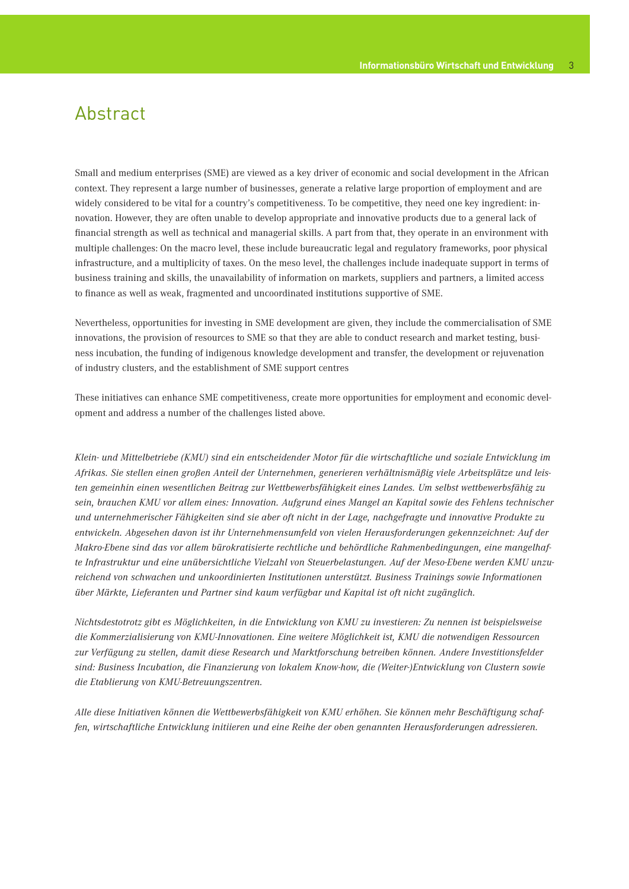## Abstract

Small and medium enterprises (SME) are viewed as a key driver of economic and social development in the African context. They represent a large number of businesses, generate a relative large proportion of employment and are widely considered to be vital for a country's competitiveness. To be competitive, they need one key ingredient: innovation. However, they are often unable to develop appropriate and innovative products due to a general lack of financial strength as well as technical and managerial skills. A part from that, they operate in an environment with multiple challenges: On the macro level, these include bureaucratic legal and regulatory frameworks, poor physical infrastructure, and a multiplicity of taxes. On the meso level, the challenges include inadequate support in terms of business training and skills, the unavailability of information on markets, suppliers and partners, a limited access to finance as well as weak, fragmented and uncoordinated institutions supportive of SME.

Nevertheless, opportunities for investing in SME development are given, they include the commercialisation of SME innovations, the provision of resources to SME so that they are able to conduct research and market testing, business incubation, the funding of indigenous knowledge development and transfer, the development or rejuvenation of industry clusters, and the establishment of SME support centres

These initiatives can enhance SME competitiveness, create more opportunities for employment and economic development and address a number of the challenges listed above.

*Klein- und Mittelbetriebe (KMU) sind ein entscheidender Motor für die wirtschaftliche und soziale Entwicklung im Afrikas. Sie stellen einen großen Anteil der Unternehmen, generieren verhältnismäßig viele Arbeitsplätze und leisten gemeinhin einen wesentlichen Beitrag zur Wettbewerbsfähigkeit eines Landes. Um selbst wettbewerbsfähig zu sein, brauchen KMU vor allem eines: Innovation. Aufgrund eines Mangel an Kapital sowie des Fehlens technischer und unternehmerischer Fähigkeiten sind sie aber oft nicht in der Lage, nachgefragte und innovative Produkte zu entwickeln. Abgesehen davon ist ihr Unternehmensumfeld von vielen Herausforderungen gekennzeichnet: Auf der Makro-Ebene sind das vor allem bürokratisierte rechtliche und behördliche Rahmenbedingungen, eine mangelhafte Infrastruktur und eine unübersichtliche Vielzahl von Steuerbelastungen. Auf der Meso-Ebene werden KMU unzureichend von schwachen und unkoordinierten Institutionen unterstützt. Business Trainings sowie Informationen über Märkte, Lieferanten und Partner sind kaum verfügbar und Kapital ist oft nicht zugänglich.* 

*Nichtsdestotrotz gibt es Möglichkeiten, in die Entwicklung von KMU zu investieren: Zu nennen ist beispielsweise die Kommerzialisierung von KMU-Innovationen. Eine weitere Möglichkeit ist, KMU die notwendigen Ressourcen zur Verfügung zu stellen, damit diese Research und Marktforschung betreiben können. Andere Investitionsfelder sind: Business Incubation, die Finanzierung von lokalem Know-how, die (Weiter-)Entwicklung von Clustern sowie die Etablierung von KMU-Betreuungszentren.* 

*Alle diese Initiativen können die Wettbewerbsfähigkeit von KMU erhöhen. Sie können mehr Beschäftigung schaffen, wirtschaftliche Entwicklung initiieren und eine Reihe der oben genannten Herausforderungen adressieren.*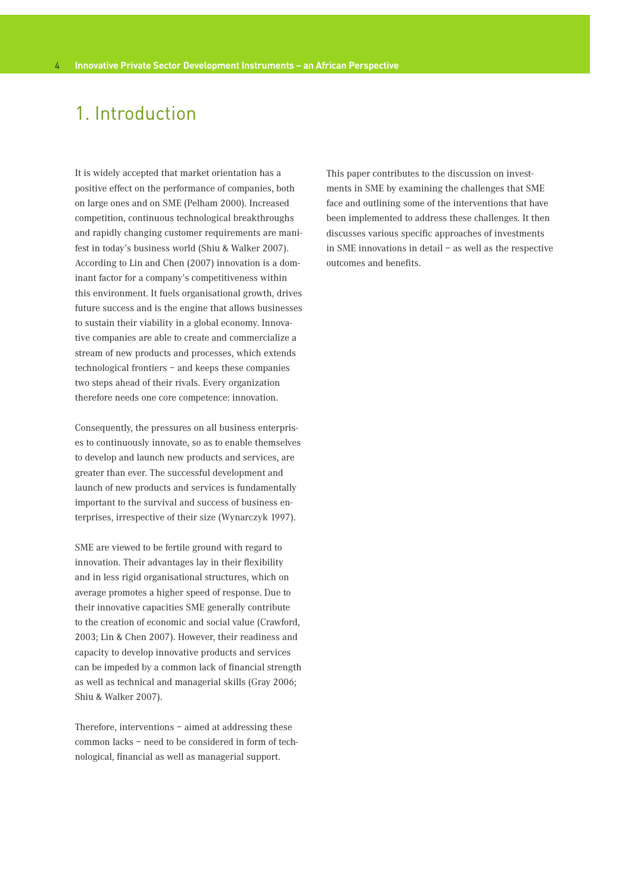## 1. Introduction

It is widely accepted that market orientation has a positive effect on the performance of companies, both on large ones and on SME (Pelham 2000). Increased competition, continuous technological breakthroughs and rapidly changing customer requirements are manifest in today's business world (Shiu & Walker 2007). According to Lin and Chen (2007) innovation is a dominant factor for a company's competitiveness within this environment. It fuels organisational growth, drives future success and is the engine that allows businesses to sustain their viability in a global economy. Innovative companies are able to create and commercialize a stream of new products and processes, which extends technological frontiers – and keeps these companies two steps ahead of their rivals. Every organization therefore needs one core competence: innovation.

Consequently, the pressures on all business enterprises to continuously innovate, so as to enable themselves to develop and launch new products and services, are greater than ever. The successful development and launch of new products and services is fundamentally important to the survival and success of business enterprises, irrespective of their size (Wynarczyk 1997).

SME are viewed to be fertile ground with regard to innovation. Their advantages lay in their flexibility and in less rigid organisational structures, which on average promotes a higher speed of response. Due to their innovative capacities SME generally contribute to the creation of economic and social value (Crawford, 2003; Lin & Chen 2007). However, their readiness and capacity to develop innovative products and services can be impeded by a common lack of financial strength as well as technical and managerial skills (Gray 2006; Shiu & Walker 2007).

Therefore, interventions – aimed at addressing these common lacks – need to be considered in form of technological, financial as well as managerial support.

This paper contributes to the discussion on investments in SME by examining the challenges that SME face and outlining some of the interventions that have been implemented to address these challenges. It then discusses various specific approaches of investments in SME innovations in detail – as well as the respective outcomes and benefits.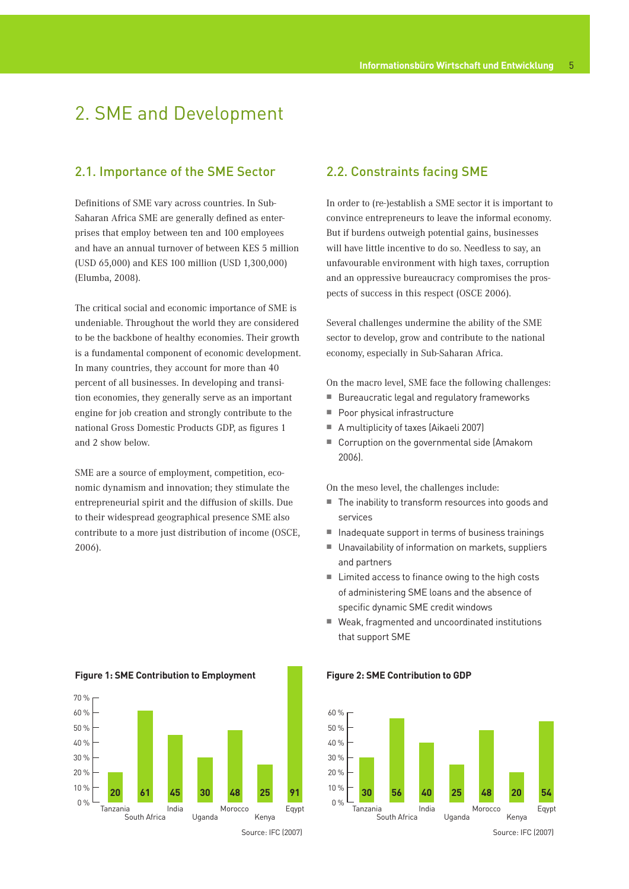## 2. SME and Development

## 2.1. Importance of the SME Sector

Definitions of SME vary across countries. In Sub-Saharan Africa SME are generally defined as enterprises that employ between ten and 100 employees and have an annual turnover of between KES 5 million (USD 65,000) and KES 100 million (USD 1,300,000) (Elumba, 2008).

The critical social and economic importance of SME is undeniable. Throughout the world they are considered to be the backbone of healthy economies. Their growth is a fundamental component of economic development. In many countries, they account for more than 40 percent of all businesses. In developing and transition economies, they generally serve as an important engine for job creation and strongly contribute to the national Gross Domestic Products GDP, as figures 1 and 2 show below.

SME are a source of employment, competition, economic dynamism and innovation; they stimulate the entrepreneurial spirit and the diffusion of skills. Due to their widespread geographical presence SME also contribute to a more just distribution of income (OSCE, 2006).

## 2.2. Constraints facing SME

In order to (re-)establish a SME sector it is important to convince entrepreneurs to leave the informal economy. But if burdens outweigh potential gains, businesses will have little incentive to do so. Needless to say, an unfavourable environment with high taxes, corruption and an oppressive bureaucracy compromises the prospects of success in this respect (OSCE 2006).

Several challenges undermine the ability of the SME sector to develop, grow and contribute to the national economy, especially in Sub-Saharan Africa.

On the macro level, SME face the following challenges:

- **Bureaucratic legal and regulatory frameworks**
- Poor physical infrastructure
- A multiplicity of taxes (Aikaeli 2007)
- Corruption on the governmental side (Amakom 2006).

On the meso level, the challenges include:

- The inability to transform resources into goods and services
- $\blacksquare$  Inadequate support in terms of business trainings
- Unavailability of information on markets, suppliers and partners
- Limited access to finance owing to the high costs of administering SME loans and the absence of specific dynamic SME credit windows
- Weak, fragmented and uncoordinated institutions that support SME



### **Figure 1: SME Contribution to Employment Figure 2: SME Contribution to GDP**

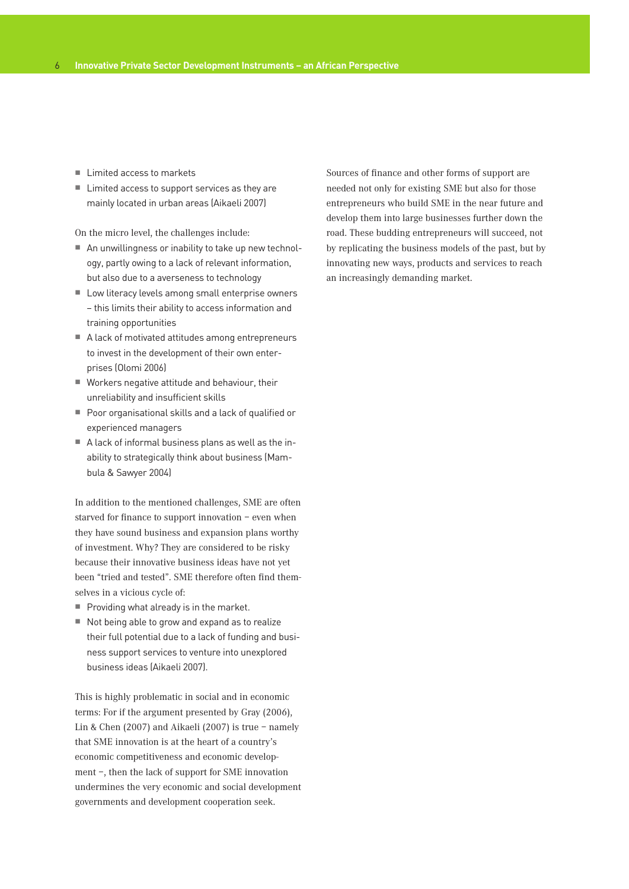- $\blacksquare$  Limited access to markets
- Limited access to support services as they are mainly located in urban areas (Aikaeli 2007)

On the micro level, the challenges include:

- An unwillingness or inability to take up new technology, partly owing to a lack of relevant information, but also due to a averseness to technology
- Low literacy levels among small enterprise owners – this limits their ability to access information and training opportunities
- A lack of motivated attitudes among entrepreneurs to invest in the development of their own enterprises (Olomi 2006)
- Workers negative attitude and behaviour, their unreliability and insufficient skills
- Poor organisational skills and a lack of qualified or experienced managers
- A lack of informal business plans as well as the inability to strategically think about business (Mambula & Sawyer 2004)

In addition to the mentioned challenges, SME are often starved for finance to support innovation – even when they have sound business and expansion plans worthy of investment. Why? They are considered to be risky because their innovative business ideas have not yet been "tried and tested". SME therefore often find themselves in a vicious cycle of:

- $\blacksquare$  Providing what already is in the market.
- $\blacksquare$  Not being able to grow and expand as to realize their full potential due to a lack of funding and business support services to venture into unexplored business ideas (Aikaeli 2007).

This is highly problematic in social and in economic terms: For if the argument presented by Gray (2006), Lin & Chen (2007) and Aikaeli (2007) is true – namely that SME innovation is at the heart of a country's economic competitiveness and economic development –, then the lack of support for SME innovation undermines the very economic and social development governments and development cooperation seek.

Sources of finance and other forms of support are needed not only for existing SME but also for those entrepreneurs who build SME in the near future and develop them into large businesses further down the road. These budding entrepreneurs will succeed, not by replicating the business models of the past, but by innovating new ways, products and services to reach an increasingly demanding market.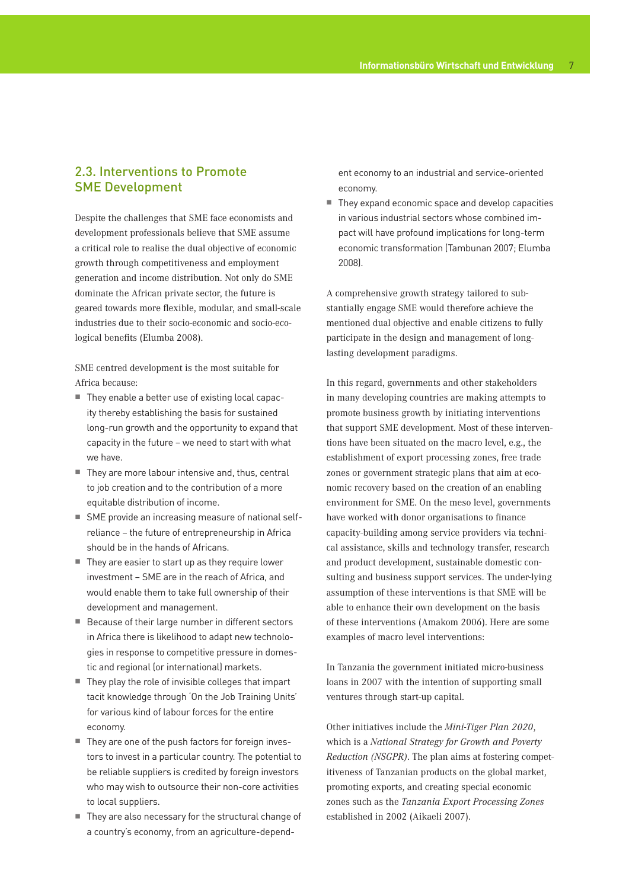## 2.3. Interventions to Promote SME Development

Despite the challenges that SME face economists and development professionals believe that SME assume a critical role to realise the dual objective of economic growth through competitiveness and employment generation and income distribution. Not only do SME dominate the African private sector, the future is geared towards more flexible, modular, and small-scale industries due to their socio-economic and socio-ecological benefits (Elumba 2008).

SME centred development is the most suitable for Africa because:

- They enable a better use of existing local capacity thereby establishing the basis for sustained long-run growth and the opportunity to expand that capacity in the future – we need to start with what we have.
- They are more labour intensive and, thus, central to job creation and to the contribution of a more equitable distribution of income.
- SME provide an increasing measure of national selfreliance – the future of entrepreneurship in Africa should be in the hands of Africans.
- $\blacksquare$  They are easier to start up as they require lower investment – SME are in the reach of Africa, and would enable them to take full ownership of their development and management.
- Because of their large number in different sectors in Africa there is likelihood to adapt new technologies in response to competitive pressure in domestic and regional (or international) markets.
- $\blacksquare$  They play the role of invisible colleges that impart tacit knowledge through 'On the Job Training Units' for various kind of labour forces for the entire economy.
- They are one of the push factors for foreign investors to invest in a particular country. The potential to be reliable suppliers is credited by foreign investors who may wish to outsource their non-core activities to local suppliers.
- They are also necessary for the structural change of a country's economy, from an agriculture-depend-

ent economy to an industrial and service-oriented economy.

■ They expand economic space and develop capacities in various industrial sectors whose combined impact will have profound implications for long-term economic transformation (Tambunan 2007; Elumba 2008).

A comprehensive growth strategy tailored to substantially engage SME would therefore achieve the mentioned dual objective and enable citizens to fully participate in the design and management of longlasting development paradigms.

In this regard, governments and other stakeholders in many developing countries are making attempts to promote business growth by initiating interventions that support SME development. Most of these interventions have been situated on the macro level, e.g., the establishment of export processing zones, free trade zones or government strategic plans that aim at economic recovery based on the creation of an enabling environment for SME. On the meso level, governments have worked with donor organisations to finance capacity-building among service providers via technical assistance, skills and technology transfer, research and product development, sustainable domestic consulting and business support services. The under-lying assumption of these interventions is that SME will be able to enhance their own development on the basis of these interventions (Amakom 2006). Here are some examples of macro level interventions:

In Tanzania the government initiated micro-business loans in 2007 with the intention of supporting small ventures through start-up capital.

Other initiatives include the *Mini-Tiger Plan 2020*, which is a *National Strategy for Growth and Poverty Reduction (NSGPR)*. The plan aims at fostering competitiveness of Tanzanian products on the global market, promoting exports, and creating special economic zones such as the *Tanzania Export Processing Zones* established in 2002 (Aikaeli 2007).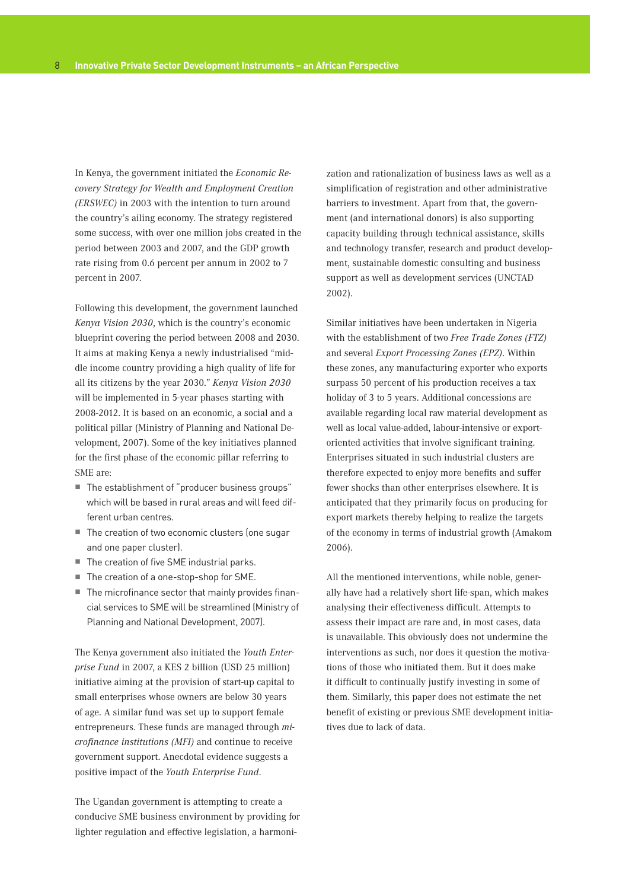In Kenya, the government initiated the *Economic Recovery Strategy for Wealth and Employment Creation (ERSWEC)* in 2003 with the intention to turn around the country's ailing economy. The strategy registered some success, with over one million jobs created in the period between 2003 and 2007, and the GDP growth rate rising from 0.6 percent per annum in 2002 to 7 percent in 2007.

Following this development, the government launched *Kenya Vision 2030*, which is the country's economic blueprint covering the period between 2008 and 2030. It aims at making Kenya a newly industrialised "middle income country providing a high quality of life for all its citizens by the year 2030." *Kenya Vision 2030* will be implemented in 5-year phases starting with 2008-2012. It is based on an economic, a social and a political pillar (Ministry of Planning and National Development, 2007). Some of the key initiatives planned for the first phase of the economic pillar referring to SME are:

- The establishment of "producer business groups" which will be based in rural areas and will feed different urban centres.
- The creation of two economic clusters (one sugar and one paper cluster).
- The creation of five SME industrial parks.
- The creation of a one-stop-shop for SME.
- The microfinance sector that mainly provides financial services to SME will be streamlined (Ministry of Planning and National Development, 2007).

The Kenya government also initiated the *Youth Enterprise Fund* in 2007, a KES 2 billion (USD 25 million) initiative aiming at the provision of start-up capital to small enterprises whose owners are below 30 years of age. A similar fund was set up to support female entrepreneurs. These funds are managed through *microfinance institutions (MFI)* and continue to receive government support. Anecdotal evidence suggests a positive impact of the *Youth Enterprise Fund*.

The Ugandan government is attempting to create a conducive SME business environment by providing for lighter regulation and effective legislation, a harmoni-

zation and rationalization of business laws as well as a simplification of registration and other administrative barriers to investment. Apart from that, the government (and international donors) is also supporting capacity building through technical assistance, skills and technology transfer, research and product development, sustainable domestic consulting and business support as well as development services (UNCTAD 2002).

Similar initiatives have been undertaken in Nigeria with the establishment of two *Free Trade Zones (FTZ)* and several *Export Processing Zones (EPZ)*. Within these zones, any manufacturing exporter who exports surpass 50 percent of his production receives a tax holiday of 3 to 5 years. Additional concessions are available regarding local raw material development as well as local value-added, labour-intensive or exportoriented activities that involve significant training. Enterprises situated in such industrial clusters are therefore expected to enjoy more benefits and suffer fewer shocks than other enterprises elsewhere. It is anticipated that they primarily focus on producing for export markets thereby helping to realize the targets of the economy in terms of industrial growth (Amakom 2006).

All the mentioned interventions, while noble, generally have had a relatively short life-span, which makes analysing their effectiveness difficult. Attempts to assess their impact are rare and, in most cases, data is unavailable. This obviously does not undermine the interventions as such, nor does it question the motivations of those who initiated them. But it does make it difficult to continually justify investing in some of them. Similarly, this paper does not estimate the net benefit of existing or previous SME development initiatives due to lack of data.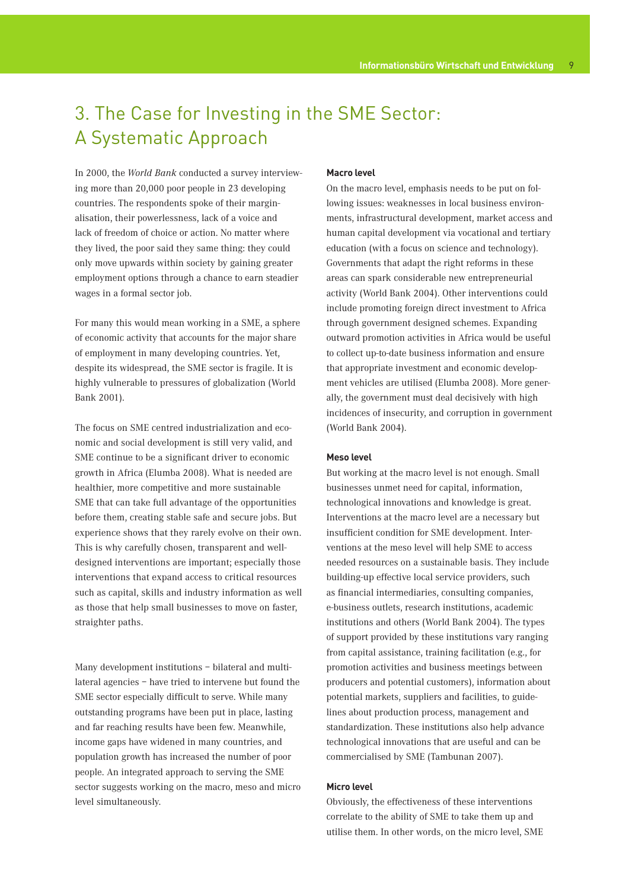## 3. The Case for Investing in the SME Sector: A Systematic Approach

In 2000, the *World Bank* conducted a survey interviewing more than 20,000 poor people in 23 developing countries. The respondents spoke of their marginalisation, their powerlessness, lack of a voice and lack of freedom of choice or action. No matter where they lived, the poor said they same thing: they could only move upwards within society by gaining greater employment options through a chance to earn steadier wages in a formal sector job.

For many this would mean working in a SME, a sphere of economic activity that accounts for the major share of employment in many developing countries. Yet, despite its widespread, the SME sector is fragile. It is highly vulnerable to pressures of globalization (World Bank 2001).

The focus on SME centred industrialization and economic and social development is still very valid, and SME continue to be a significant driver to economic growth in Africa (Elumba 2008). What is needed are healthier, more competitive and more sustainable SME that can take full advantage of the opportunities before them, creating stable safe and secure jobs. But experience shows that they rarely evolve on their own. This is why carefully chosen, transparent and welldesigned interventions are important; especially those interventions that expand access to critical resources such as capital, skills and industry information as well as those that help small businesses to move on faster, straighter paths.

Many development institutions – bilateral and multilateral agencies – have tried to intervene but found the SME sector especially difficult to serve. While many outstanding programs have been put in place, lasting and far reaching results have been few. Meanwhile, income gaps have widened in many countries, and population growth has increased the number of poor people. An integrated approach to serving the SME sector suggests working on the macro, meso and micro level simultaneously.

### **Macro level**

On the macro level, emphasis needs to be put on following issues: weaknesses in local business environments, infrastructural development, market access and human capital development via vocational and tertiary education (with a focus on science and technology). Governments that adapt the right reforms in these areas can spark considerable new entrepreneurial activity (World Bank 2004). Other interventions could include promoting foreign direct investment to Africa through government designed schemes. Expanding outward promotion activities in Africa would be useful to collect up-to-date business information and ensure that appropriate investment and economic development vehicles are utilised (Elumba 2008). More generally, the government must deal decisively with high incidences of insecurity, and corruption in government (World Bank 2004).

## **Meso level**

But working at the macro level is not enough. Small businesses unmet need for capital, information, technological innovations and knowledge is great. Interventions at the macro level are a necessary but insufficient condition for SME development. Interventions at the meso level will help SME to access needed resources on a sustainable basis. They include building-up effective local service providers, such as financial intermediaries, consulting companies, e-business outlets, research institutions, academic institutions and others (World Bank 2004). The types of support provided by these institutions vary ranging from capital assistance, training facilitation (e.g., for promotion activities and business meetings between producers and potential customers), information about potential markets, suppliers and facilities, to guidelines about production process, management and standardization. These institutions also help advance technological innovations that are useful and can be commercialised by SME (Tambunan 2007).

#### **Micro level**

Obviously, the effectiveness of these interventions correlate to the ability of SME to take them up and utilise them. In other words, on the micro level, SME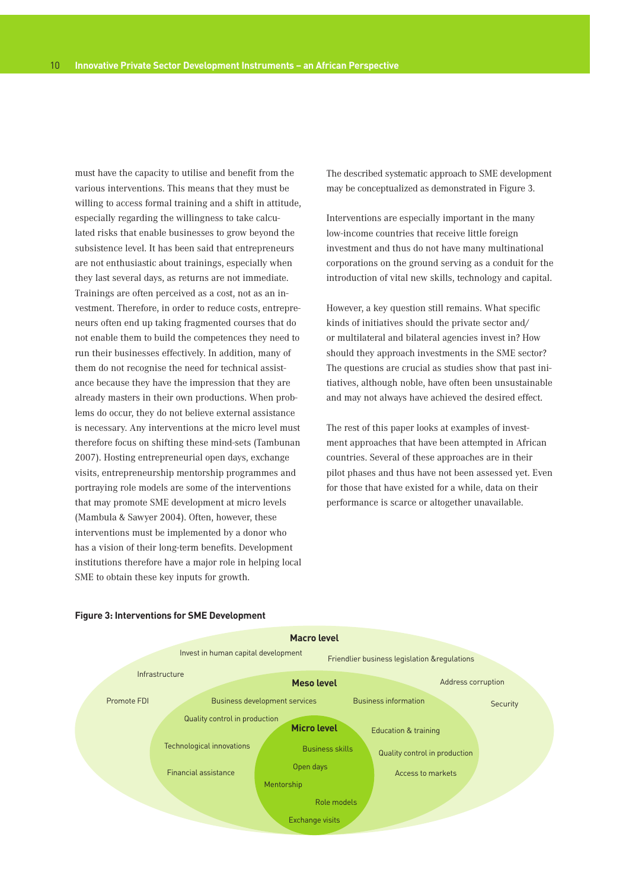must have the capacity to utilise and benefit from the various interventions. This means that they must be willing to access formal training and a shift in attitude, especially regarding the willingness to take calculated risks that enable businesses to grow beyond the subsistence level. It has been said that entrepreneurs are not enthusiastic about trainings, especially when they last several days, as returns are not immediate. Trainings are often perceived as a cost, not as an investment. Therefore, in order to reduce costs, entrepreneurs often end up taking fragmented courses that do not enable them to build the competences they need to run their businesses effectively. In addition, many of them do not recognise the need for technical assistance because they have the impression that they are already masters in their own productions. When problems do occur, they do not believe external assistance is necessary. Any interventions at the micro level must therefore focus on shifting these mind-sets (Tambunan 2007). Hosting entrepreneurial open days, exchange visits, entrepreneurship mentorship programmes and portraying role models are some of the interventions that may promote SME development at micro levels (Mambula & Sawyer 2004). Often, however, these interventions must be implemented by a donor who has a vision of their long-term benefits. Development institutions therefore have a major role in helping local SME to obtain these key inputs for growth.

The described systematic approach to SME development may be conceptualized as demonstrated in Figure 3.

Interventions are especially important in the many low-income countries that receive little foreign investment and thus do not have many multinational corporations on the ground serving as a conduit for the introduction of vital new skills, technology and capital.

However, a key question still remains. What specific kinds of initiatives should the private sector and/ or multilateral and bilateral agencies invest in? How should they approach investments in the SME sector? The questions are crucial as studies show that past initiatives, although noble, have often been unsustainable and may not always have achieved the desired effect.

The rest of this paper looks at examples of investment approaches that have been attempted in African countries. Several of these approaches are in their pilot phases and thus have not been assessed yet. Even for those that have existed for a while, data on their performance is scarce or altogether unavailable.



#### **Figure 3: Interventions for SME Development**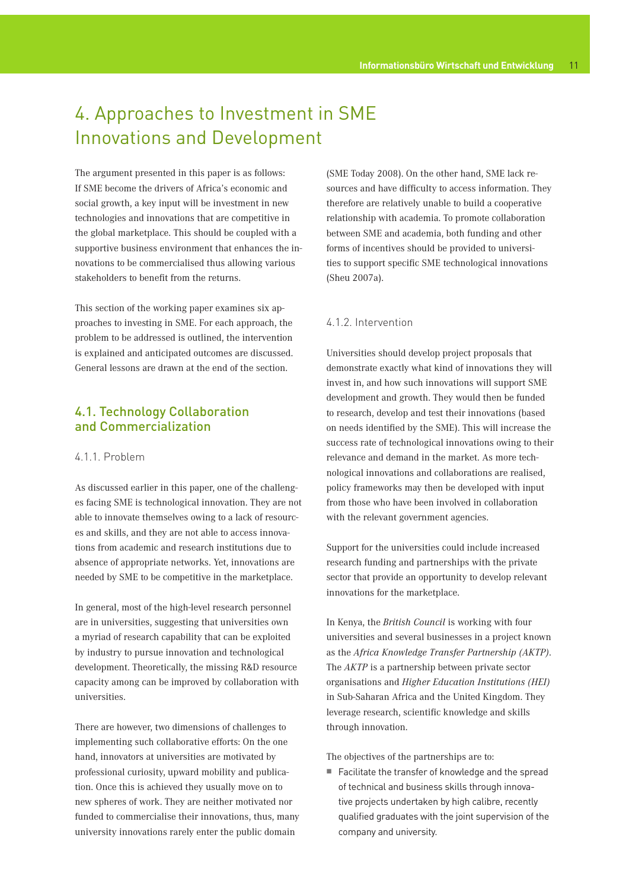## 4. Approaches to Investment in SME Innovations and Development

The argument presented in this paper is as follows: If SME become the drivers of Africa's economic and social growth, a key input will be investment in new technologies and innovations that are competitive in the global marketplace. This should be coupled with a supportive business environment that enhances the innovations to be commercialised thus allowing various stakeholders to benefit from the returns.

This section of the working paper examines six approaches to investing in SME. For each approach, the problem to be addressed is outlined, the intervention is explained and anticipated outcomes are discussed. General lessons are drawn at the end of the section.

## 4.1. Technology Collaboration and Commercialization

## 4.1.1. Problem

As discussed earlier in this paper, one of the challenges facing SME is technological innovation. They are not able to innovate themselves owing to a lack of resources and skills, and they are not able to access innovations from academic and research institutions due to absence of appropriate networks. Yet, innovations are needed by SME to be competitive in the marketplace.

In general, most of the high-level research personnel are in universities, suggesting that universities own a myriad of research capability that can be exploited by industry to pursue innovation and technological development. Theoretically, the missing R&D resource capacity among can be improved by collaboration with universities.

There are however, two dimensions of challenges to implementing such collaborative efforts: On the one hand, innovators at universities are motivated by professional curiosity, upward mobility and publication. Once this is achieved they usually move on to new spheres of work. They are neither motivated nor funded to commercialise their innovations, thus, many university innovations rarely enter the public domain

(SME Today 2008). On the other hand, SME lack resources and have difficulty to access information. They therefore are relatively unable to build a cooperative relationship with academia. To promote collaboration between SME and academia, both funding and other forms of incentives should be provided to universities to support specific SME technological innovations (Sheu 2007a).

## 4.1.2. Intervention

Universities should develop project proposals that demonstrate exactly what kind of innovations they will invest in, and how such innovations will support SME development and growth. They would then be funded to research, develop and test their innovations (based on needs identified by the SME). This will increase the success rate of technological innovations owing to their relevance and demand in the market. As more technological innovations and collaborations are realised, policy frameworks may then be developed with input from those who have been involved in collaboration with the relevant government agencies.

Support for the universities could include increased research funding and partnerships with the private sector that provide an opportunity to develop relevant innovations for the marketplace.

In Kenya, the *British Council* is working with four universities and several businesses in a project known as the *Africa Knowledge Transfer Partnership (AKTP)*. The *AKTP* is a partnership between private sector organisations and *Higher Education Institutions (HEI)*  in Sub-Saharan Africa and the United Kingdom. They leverage research, scientific knowledge and skills through innovation.

The objectives of the partnerships are to:

■ Facilitate the transfer of knowledge and the spread of technical and business skills through innovative projects undertaken by high calibre, recently qualified graduates with the joint supervision of the company and university.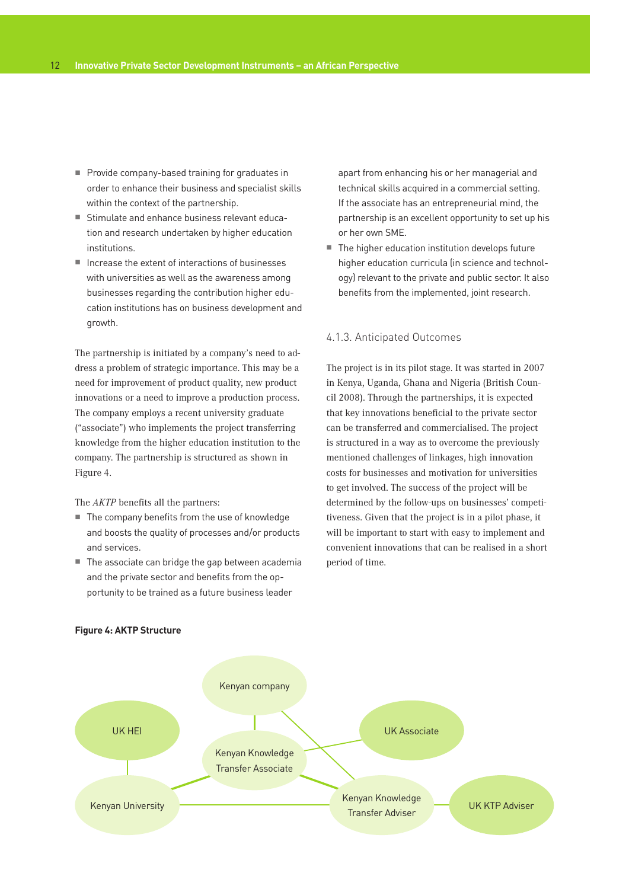- Provide company-based training for graduates in order to enhance their business and specialist skills within the context of the partnership.
- Stimulate and enhance business relevant education and research undertaken by higher education institutions.
- $\blacksquare$  Increase the extent of interactions of businesses with universities as well as the awareness among businesses regarding the contribution higher education institutions has on business development and growth.

The partnership is initiated by a company's need to address a problem of strategic importance. This may be a need for improvement of product quality, new product innovations or a need to improve a production process. The company employs a recent university graduate ("associate") who implements the project transferring knowledge from the higher education institution to the company. The partnership is structured as shown in Figure 4.

The *AKTP* benefits all the partners:

- $\blacksquare$  The company benefits from the use of knowledge and boosts the quality of processes and/or products and services.
- $\blacksquare$  The associate can bridge the gap between academia and the private sector and benefits from the opportunity to be trained as a future business leader

apart from enhancing his or her managerial and technical skills acquired in a commercial setting. If the associate has an entrepreneurial mind, the partnership is an excellent opportunity to set up his or her own SME.

■ The higher education institution develops future higher education curricula (in science and technology) relevant to the private and public sector. It also benefits from the implemented, joint research.

## 4.1.3. Anticipated Outcomes

The project is in its pilot stage. It was started in 2007 in Kenya, Uganda, Ghana and Nigeria (British Council 2008). Through the partnerships, it is expected that key innovations beneficial to the private sector can be transferred and commercialised. The project is structured in a way as to overcome the previously mentioned challenges of linkages, high innovation costs for businesses and motivation for universities to get involved. The success of the project will be determined by the follow-ups on businesses' competitiveness. Given that the project is in a pilot phase, it will be important to start with easy to implement and convenient innovations that can be realised in a short period of time.



## **Figure 4: AKTP Structure**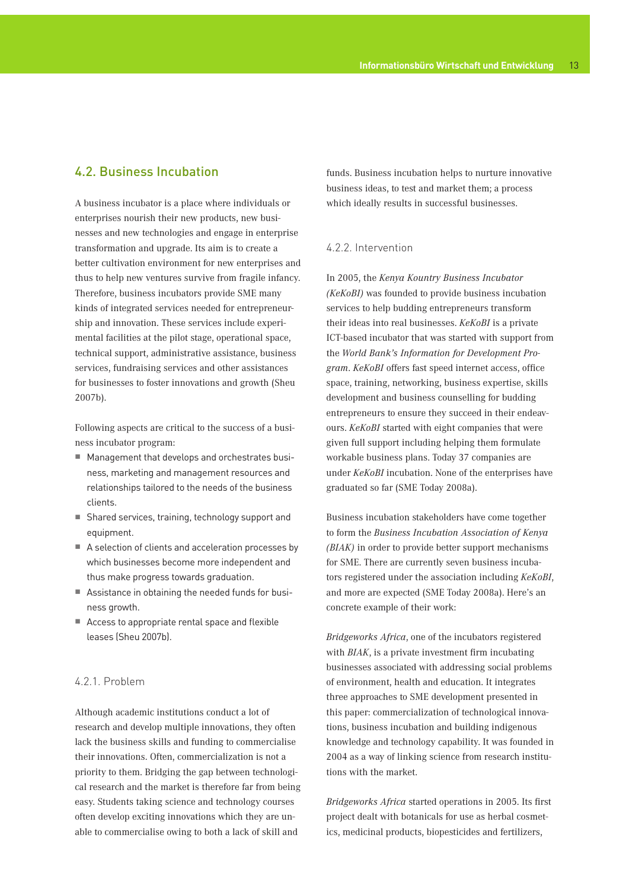## 4.2. Business Incubation

A business incubator is a place where individuals or enterprises nourish their new products, new businesses and new technologies and engage in enterprise transformation and upgrade. Its aim is to create a better cultivation environment for new enterprises and thus to help new ventures survive from fragile infancy. Therefore, business incubators provide SME many kinds of integrated services needed for entrepreneurship and innovation. These services include experimental facilities at the pilot stage, operational space, technical support, administrative assistance, business services, fundraising services and other assistances for businesses to foster innovations and growth (Sheu 2007b).

Following aspects are critical to the success of a business incubator program:

- Management that develops and orchestrates business, marketing and management resources and relationships tailored to the needs of the business clients.
- Shared services, training, technology support and equipment.
- A selection of clients and acceleration processes by which businesses become more independent and thus make progress towards graduation.
- Assistance in obtaining the needed funds for business growth.
- Access to appropriate rental space and flexible leases (Sheu 2007b).

## 4.2.1. Problem

Although academic institutions conduct a lot of research and develop multiple innovations, they often lack the business skills and funding to commercialise their innovations. Often, commercialization is not a priority to them. Bridging the gap between technological research and the market is therefore far from being easy. Students taking science and technology courses often develop exciting innovations which they are unable to commercialise owing to both a lack of skill and

funds. Business incubation helps to nurture innovative business ideas, to test and market them; a process which ideally results in successful businesses.

## 4.2.2. Intervention

In 2005, the *Kenya Kountry Business Incubator (KeKoBI)* was founded to provide business incubation services to help budding entrepreneurs transform their ideas into real businesses. *KeKoBI* is a private ICT-based incubator that was started with support from the *World Bank's Information for Development Program*. *KeKoBI* offers fast speed internet access, office space, training, networking, business expertise, skills development and business counselling for budding entrepreneurs to ensure they succeed in their endeavours. *KeKoBI* started with eight companies that were given full support including helping them formulate workable business plans. Today 37 companies are under *KeKoBI* incubation. None of the enterprises have graduated so far (SME Today 2008a).

Business incubation stakeholders have come together to form the *Business Incubation Association of Kenya (BIAK)* in order to provide better support mechanisms for SME. There are currently seven business incubators registered under the association including *KeKoBI*, and more are expected (SME Today 2008a). Here's an concrete example of their work:

*Bridgeworks Africa*, one of the incubators registered with *BIAK*, is a private investment firm incubating businesses associated with addressing social problems of environment, health and education. It integrates three approaches to SME development presented in this paper: commercialization of technological innovations, business incubation and building indigenous knowledge and technology capability. It was founded in 2004 as a way of linking science from research institutions with the market.

*Bridgeworks Africa* started operations in 2005. Its first project dealt with botanicals for use as herbal cosmetics, medicinal products, biopesticides and fertilizers,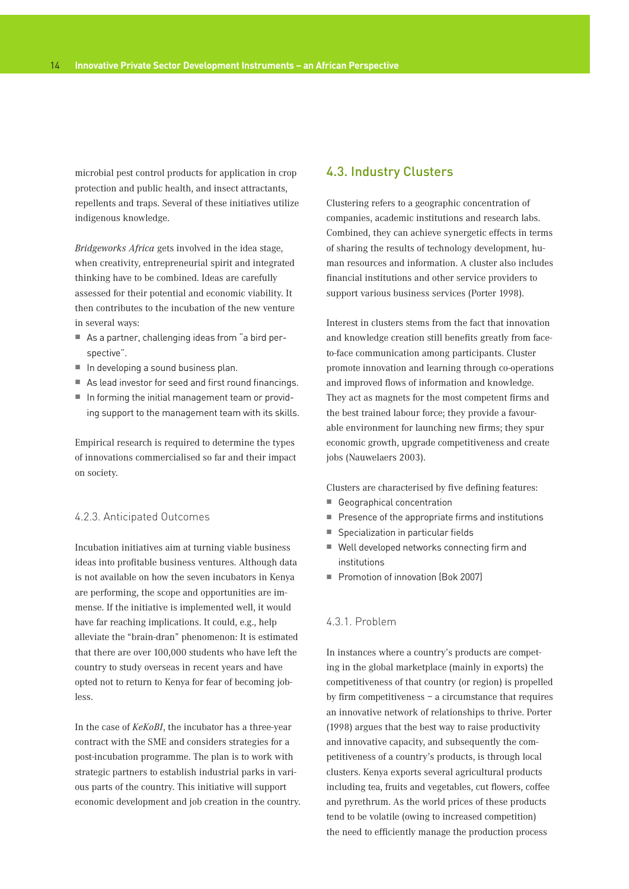microbial pest control products for application in crop protection and public health, and insect attractants, repellents and traps. Several of these initiatives utilize indigenous knowledge.

*Bridgeworks Africa* gets involved in the idea stage, when creativity, entrepreneurial spirit and integrated thinking have to be combined. Ideas are carefully assessed for their potential and economic viability. It then contributes to the incubation of the new venture in several ways:

- As a partner, challenging ideas from "a bird perspective".
- $\blacksquare$  In developing a sound business plan.
- As lead investor for seed and first round financings.
- In forming the initial management team or providing support to the management team with its skills.

Empirical research is required to determine the types of innovations commercialised so far and their impact on society.

## 4.2.3. Anticipated Outcomes

Incubation initiatives aim at turning viable business ideas into profitable business ventures. Although data is not available on how the seven incubators in Kenya are performing, the scope and opportunities are immense. If the initiative is implemented well, it would have far reaching implications. It could, e.g., help alleviate the "brain-dran" phenomenon: It is estimated that there are over 100,000 students who have left the country to study overseas in recent years and have opted not to return to Kenya for fear of becoming jobless.

In the case of *KeKoBI*, the incubator has a three-year contract with the SME and considers strategies for a post-incubation programme. The plan is to work with strategic partners to establish industrial parks in various parts of the country. This initiative will support economic development and job creation in the country.

## 4.3. Industry Clusters

Clustering refers to a geographic concentration of companies, academic institutions and research labs. Combined, they can achieve synergetic effects in terms of sharing the results of technology development, human resources and information. A cluster also includes financial institutions and other service providers to support various business services (Porter 1998).

Interest in clusters stems from the fact that innovation and knowledge creation still benefits greatly from faceto-face communication among participants. Cluster promote innovation and learning through co-operations and improved flows of information and knowledge. They act as magnets for the most competent firms and the best trained labour force; they provide a favourable environment for launching new firms; they spur economic growth, upgrade competitiveness and create jobs (Nauwelaers 2003).

Clusters are characterised by five defining features:

- Geographical concentration
- $\blacksquare$  Presence of the appropriate firms and institutions
- Specialization in particular fields
- Well developed networks connecting firm and institutions
- Promotion of innovation (Bok 2007)

## 4.3.1. Problem

In instances where a country's products are competing in the global marketplace (mainly in exports) the competitiveness of that country (or region) is propelled by firm competitiveness – a circumstance that requires an innovative network of relationships to thrive. Porter (1998) argues that the best way to raise productivity and innovative capacity, and subsequently the competitiveness of a country's products, is through local clusters. Kenya exports several agricultural products including tea, fruits and vegetables, cut flowers, coffee and pyrethrum. As the world prices of these products tend to be volatile (owing to increased competition) the need to efficiently manage the production process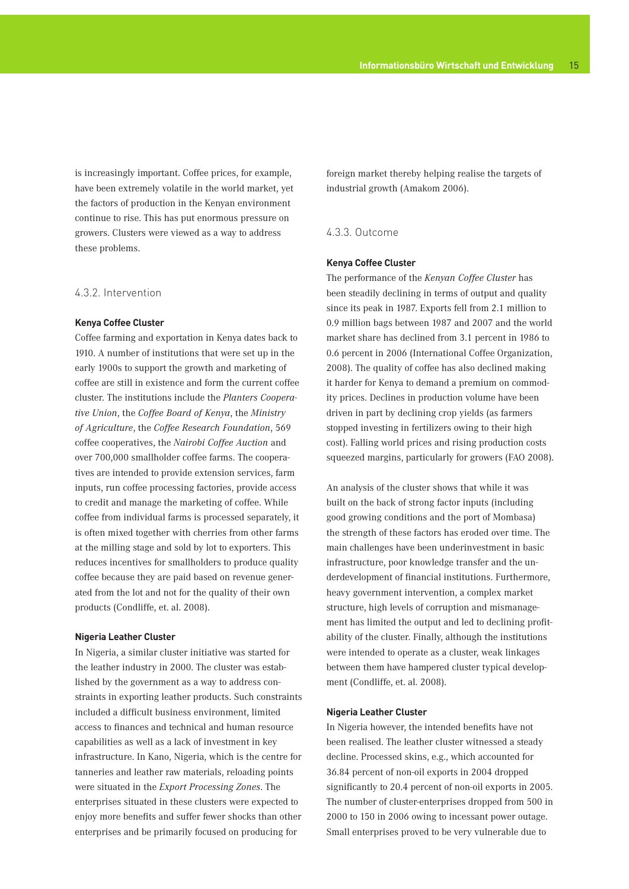is increasingly important. Coffee prices, for example, have been extremely volatile in the world market, yet the factors of production in the Kenyan environment continue to rise. This has put enormous pressure on growers. Clusters were viewed as a way to address these problems.

#### 4.3.2. Intervention

#### **Kenya Coffee Cluster**

Coffee farming and exportation in Kenya dates back to 1910. A number of institutions that were set up in the early 1900s to support the growth and marketing of coffee are still in existence and form the current coffee cluster. The institutions include the *Planters Cooperative Union*, the *Coffee Board of Kenya*, the *Ministry of Agriculture*, the *Coffee Research Foundation*, 569 coffee cooperatives, the *Nairobi Coffee Auction* and over 700,000 smallholder coffee farms. The cooperatives are intended to provide extension services, farm inputs, run coffee processing factories, provide access to credit and manage the marketing of coffee. While coffee from individual farms is processed separately, it is often mixed together with cherries from other farms at the milling stage and sold by lot to exporters. This reduces incentives for smallholders to produce quality coffee because they are paid based on revenue generated from the lot and not for the quality of their own products (Condliffe, et. al. 2008).

#### **Nigeria Leather Cluster**

In Nigeria, a similar cluster initiative was started for the leather industry in 2000. The cluster was established by the government as a way to address constraints in exporting leather products. Such constraints included a difficult business environment, limited access to finances and technical and human resource capabilities as well as a lack of investment in key infrastructure. In Kano, Nigeria, which is the centre for tanneries and leather raw materials, reloading points were situated in the *Export Processing Zones*. The enterprises situated in these clusters were expected to enjoy more benefits and suffer fewer shocks than other enterprises and be primarily focused on producing for

foreign market thereby helping realise the targets of industrial growth (Amakom 2006).

### 4.3.3. Outcome

#### **Kenya Coffee Cluster**

The performance of the *Kenyan Coffee Cluster* has been steadily declining in terms of output and quality since its peak in 1987. Exports fell from 2.1 million to 0.9 million bags between 1987 and 2007 and the world market share has declined from 3.1 percent in 1986 to 0.6 percent in 2006 (International Coffee Organization, 2008). The quality of coffee has also declined making it harder for Kenya to demand a premium on commodity prices. Declines in production volume have been driven in part by declining crop yields (as farmers stopped investing in fertilizers owing to their high cost). Falling world prices and rising production costs squeezed margins, particularly for growers (FAO 2008).

An analysis of the cluster shows that while it was built on the back of strong factor inputs (including good growing conditions and the port of Mombasa) the strength of these factors has eroded over time. The main challenges have been underinvestment in basic infrastructure, poor knowledge transfer and the underdevelopment of financial institutions. Furthermore, heavy government intervention, a complex market structure, high levels of corruption and mismanagement has limited the output and led to declining profitability of the cluster. Finally, although the institutions were intended to operate as a cluster, weak linkages between them have hampered cluster typical development (Condliffe, et. al. 2008).

## **Nigeria Leather Cluster**

In Nigeria however, the intended benefits have not been realised. The leather cluster witnessed a steady decline. Processed skins, e.g., which accounted for 36.84 percent of non-oil exports in 2004 dropped significantly to 20.4 percent of non-oil exports in 2005. The number of cluster-enterprises dropped from 500 in 2000 to 150 in 2006 owing to incessant power outage. Small enterprises proved to be very vulnerable due to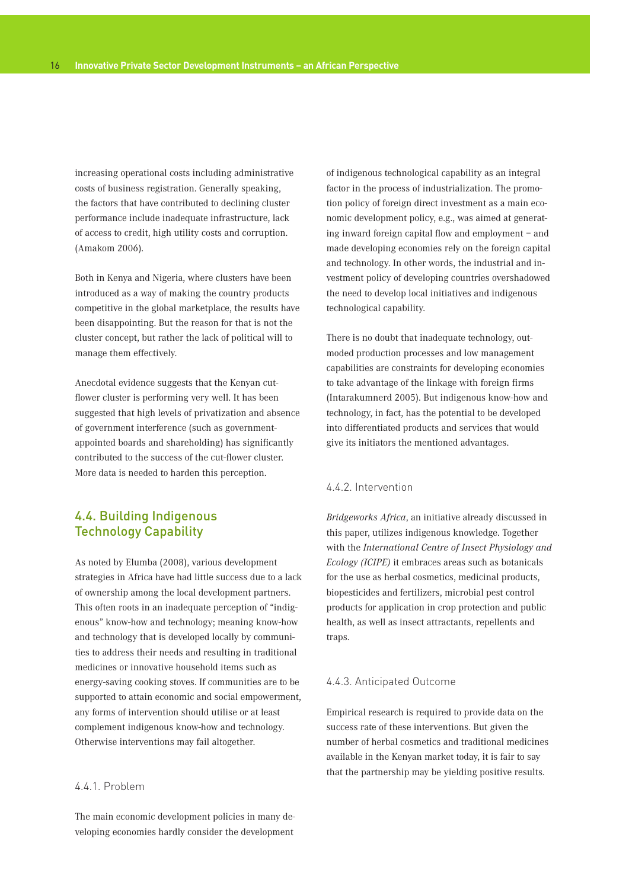increasing operational costs including administrative costs of business registration. Generally speaking, the factors that have contributed to declining cluster performance include inadequate infrastructure, lack of access to credit, high utility costs and corruption. (Amakom 2006).

Both in Kenya and Nigeria, where clusters have been introduced as a way of making the country products competitive in the global marketplace, the results have been disappointing. But the reason for that is not the cluster concept, but rather the lack of political will to manage them effectively.

Anecdotal evidence suggests that the Kenyan cutflower cluster is performing very well. It has been suggested that high levels of privatization and absence of government interference (such as governmentappointed boards and shareholding) has significantly contributed to the success of the cut-flower cluster. More data is needed to harden this perception.

## 4.4. Building Indigenous Technology Capability

As noted by Elumba (2008), various development strategies in Africa have had little success due to a lack of ownership among the local development partners. This often roots in an inadequate perception of "indigenous" know-how and technology; meaning know-how and technology that is developed locally by communities to address their needs and resulting in traditional medicines or innovative household items such as energy-saving cooking stoves. If communities are to be supported to attain economic and social empowerment, any forms of intervention should utilise or at least complement indigenous know-how and technology. Otherwise interventions may fail altogether.

## 4.4.1. Problem

The main economic development policies in many developing economies hardly consider the development

of indigenous technological capability as an integral factor in the process of industrialization. The promotion policy of foreign direct investment as a main economic development policy, e.g., was aimed at generating inward foreign capital flow and employment – and made developing economies rely on the foreign capital and technology. In other words, the industrial and investment policy of developing countries overshadowed the need to develop local initiatives and indigenous technological capability.

There is no doubt that inadequate technology, outmoded production processes and low management capabilities are constraints for developing economies to take advantage of the linkage with foreign firms (Intarakumnerd 2005). But indigenous know-how and technology, in fact, has the potential to be developed into differentiated products and services that would give its initiators the mentioned advantages.

## 4.4.2. Intervention

*Bridgeworks Africa*, an initiative already discussed in this paper, utilizes indigenous knowledge. Together with the *International Centre of Insect Physiology and Ecology (ICIPE)* it embraces areas such as botanicals for the use as herbal cosmetics, medicinal products, biopesticides and fertilizers, microbial pest control products for application in crop protection and public health, as well as insect attractants, repellents and traps.

### 4.4.3. Anticipated Outcome

Empirical research is required to provide data on the success rate of these interventions. But given the number of herbal cosmetics and traditional medicines available in the Kenyan market today, it is fair to say that the partnership may be yielding positive results.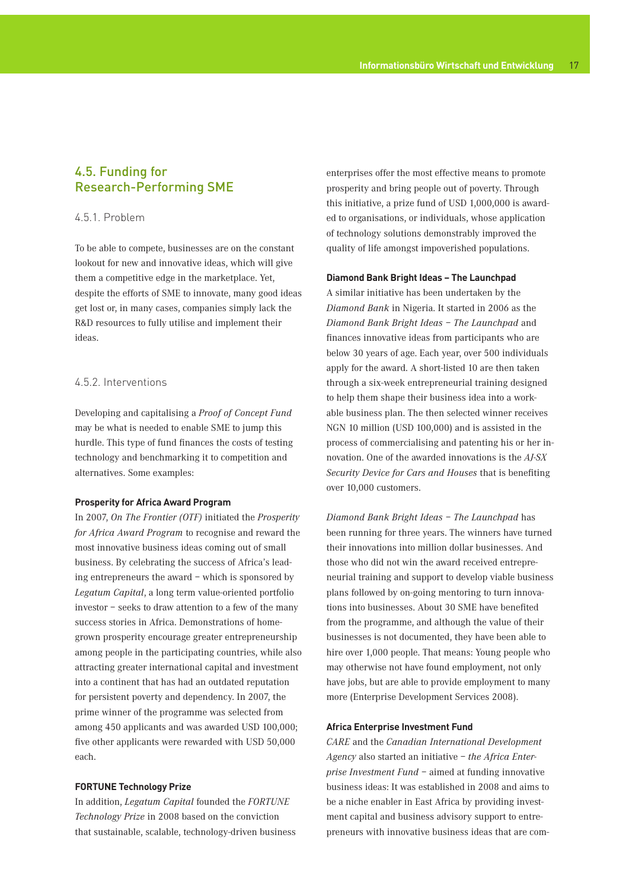## 4.5. Funding for Research-Performing SME

## 4.5.1. Problem

To be able to compete, businesses are on the constant lookout for new and innovative ideas, which will give them a competitive edge in the marketplace. Yet, despite the efforts of SME to innovate, many good ideas get lost or, in many cases, companies simply lack the R&D resources to fully utilise and implement their ideas.

## 4.5.2. Interventions

Developing and capitalising a *Proof of Concept Fund* may be what is needed to enable SME to jump this hurdle. This type of fund finances the costs of testing technology and benchmarking it to competition and alternatives. Some examples:

#### **Prosperity for Africa Award Program**

In 2007, *On The Frontier (OTF)* initiated the *Prosperity for Africa Award Program* to recognise and reward the most innovative business ideas coming out of small business. By celebrating the success of Africa's leading entrepreneurs the award – which is sponsored by *Legatum Capital*, a long term value-oriented portfolio investor – seeks to draw attention to a few of the many success stories in Africa. Demonstrations of homegrown prosperity encourage greater entrepreneurship among people in the participating countries, while also attracting greater international capital and investment into a continent that has had an outdated reputation for persistent poverty and dependency. In 2007, the prime winner of the programme was selected from among 450 applicants and was awarded USD 100,000; five other applicants were rewarded with USD 50,000 each.

## **FORTUNE Technology Prize**

In addition, *Legatum Capital* founded the *FORTUNE Technology Prize* in 2008 based on the conviction that sustainable, scalable, technology-driven business enterprises offer the most effective means to promote prosperity and bring people out of poverty. Through this initiative, a prize fund of USD 1,000,000 is awarded to organisations, or individuals, whose application of technology solutions demonstrably improved the quality of life amongst impoverished populations.

### **Diamond Bank Bright Ideas – The Launchpad**

A similar initiative has been undertaken by the *Diamond Bank* in Nigeria. It started in 2006 as the *Diamond Bank Bright Ideas – The Launchpad* and finances innovative ideas from participants who are below 30 years of age. Each year, over 500 individuals apply for the award. A short-listed 10 are then taken through a six-week entrepreneurial training designed to help them shape their business idea into a workable business plan. The then selected winner receives NGN 10 million (USD 100,000) and is assisted in the process of commercialising and patenting his or her innovation. One of the awarded innovations is the *AJ-SX Security Device for Cars and Houses* that is benefiting over 10,000 customers.

*Diamond Bank Bright Ideas – The Launchpad* has been running for three years. The winners have turned their innovations into million dollar businesses. And those who did not win the award received entrepreneurial training and support to develop viable business plans followed by on-going mentoring to turn innovations into businesses. About 30 SME have benefited from the programme, and although the value of their businesses is not documented, they have been able to hire over 1,000 people. That means: Young people who may otherwise not have found employment, not only have jobs, but are able to provide employment to many more (Enterprise Development Services 2008).

#### **Africa Enterprise Investment Fund**

*CARE* and the *Canadian International Development Agency* also started an initiative – *the Africa Enterprise Investment Fund* – aimed at funding innovative business ideas: It was established in 2008 and aims to be a niche enabler in East Africa by providing investment capital and business advisory support to entrepreneurs with innovative business ideas that are com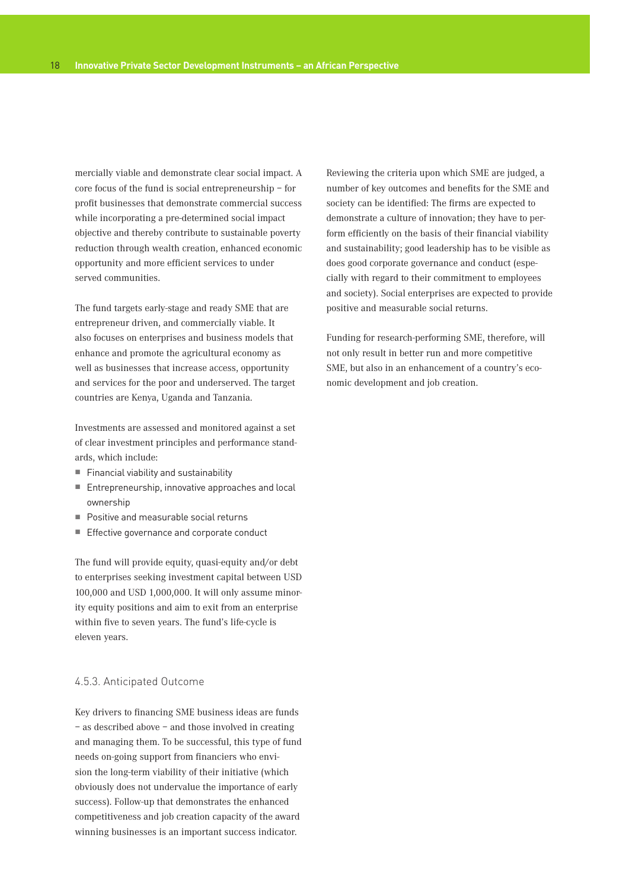mercially viable and demonstrate clear social impact. A core focus of the fund is social entrepreneurship – for profit businesses that demonstrate commercial success while incorporating a pre-determined social impact objective and thereby contribute to sustainable poverty reduction through wealth creation, enhanced economic opportunity and more efficient services to under served communities.

The fund targets early-stage and ready SME that are entrepreneur driven, and commercially viable. It also focuses on enterprises and business models that enhance and promote the agricultural economy as well as businesses that increase access, opportunity and services for the poor and underserved. The target countries are Kenya, Uganda and Tanzania.

Investments are assessed and monitored against a set of clear investment principles and performance standards, which include:

- $F$  Financial viability and sustainability
- Entrepreneurship, innovative approaches and local ownership
- **Positive and measurable social returns**
- **Effective governance and corporate conduct**

The fund will provide equity, quasi-equity and/or debt to enterprises seeking investment capital between USD 100,000 and USD 1,000,000. It will only assume minority equity positions and aim to exit from an enterprise within five to seven years. The fund's life-cycle is eleven years.

## 4.5.3. Anticipated Outcome

Key drivers to financing SME business ideas are funds – as described above – and those involved in creating and managing them. To be successful, this type of fund needs on-going support from financiers who envision the long-term viability of their initiative (which obviously does not undervalue the importance of early success). Follow-up that demonstrates the enhanced competitiveness and job creation capacity of the award winning businesses is an important success indicator.

Reviewing the criteria upon which SME are judged, a number of key outcomes and benefits for the SME and society can be identified: The firms are expected to demonstrate a culture of innovation; they have to perform efficiently on the basis of their financial viability and sustainability; good leadership has to be visible as does good corporate governance and conduct (especially with regard to their commitment to employees and society). Social enterprises are expected to provide positive and measurable social returns.

Funding for research-performing SME, therefore, will not only result in better run and more competitive SME, but also in an enhancement of a country's economic development and job creation.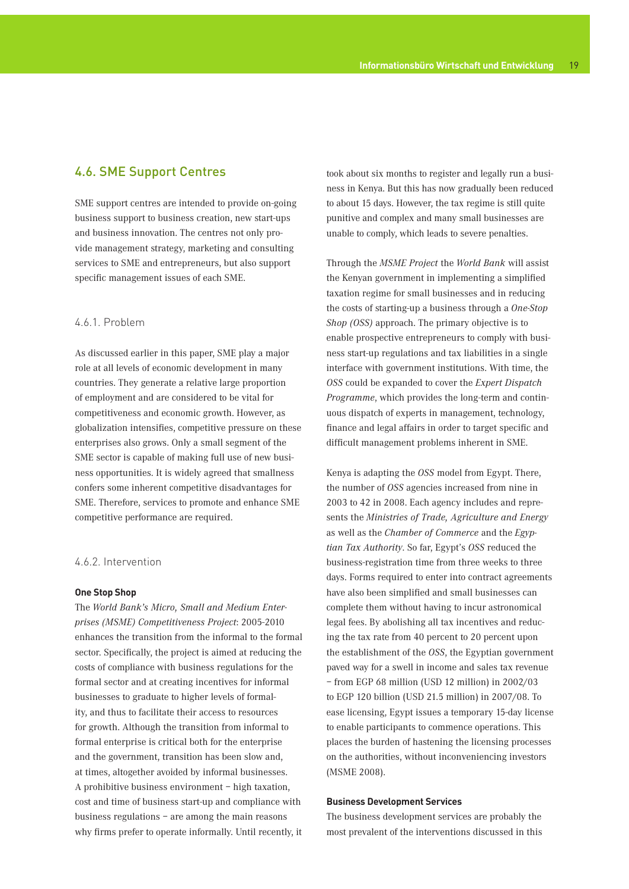## 4.6. SME Support Centres

SME support centres are intended to provide on-going business support to business creation, new start-ups and business innovation. The centres not only provide management strategy, marketing and consulting services to SME and entrepreneurs, but also support specific management issues of each SME.

## 4.6.1. Problem

As discussed earlier in this paper, SME play a major role at all levels of economic development in many countries. They generate a relative large proportion of employment and are considered to be vital for competitiveness and economic growth. However, as globalization intensifies, competitive pressure on these enterprises also grows. Only a small segment of the SME sector is capable of making full use of new business opportunities. It is widely agreed that smallness confers some inherent competitive disadvantages for SME. Therefore, services to promote and enhance SME competitive performance are required.

## 4.6.2. Intervention

#### **One Stop Shop**

The *World Bank's Micro, Small and Medium Enterprises (MSME) Competitiveness Project*: 2005-2010 enhances the transition from the informal to the formal sector. Specifically, the project is aimed at reducing the costs of compliance with business regulations for the formal sector and at creating incentives for informal businesses to graduate to higher levels of formality, and thus to facilitate their access to resources for growth. Although the transition from informal to formal enterprise is critical both for the enterprise and the government, transition has been slow and, at times, altogether avoided by informal businesses. A prohibitive business environment – high taxation, cost and time of business start-up and compliance with business regulations – are among the main reasons why firms prefer to operate informally. Until recently, it took about six months to register and legally run a business in Kenya. But this has now gradually been reduced to about 15 days. However, the tax regime is still quite punitive and complex and many small businesses are unable to comply, which leads to severe penalties.

Through the *MSME Project* the *World Bank* will assist the Kenyan government in implementing a simplified taxation regime for small businesses and in reducing the costs of starting-up a business through a *One-Stop Shop (OSS)* approach. The primary objective is to enable prospective entrepreneurs to comply with business start-up regulations and tax liabilities in a single interface with government institutions. With time, the *OSS* could be expanded to cover the *Expert Dispatch Programme*, which provides the long-term and continuous dispatch of experts in management, technology, finance and legal affairs in order to target specific and difficult management problems inherent in SME.

Kenya is adapting the *OSS* model from Egypt. There, the number of *OSS* agencies increased from nine in 2003 to 42 in 2008. Each agency includes and represents the *Ministries of Trade, Agriculture and Energy*  as well as the *Chamber of Commerce* and the *Egyptian Tax Authority*. So far, Egypt's *OSS* reduced the business-registration time from three weeks to three days. Forms required to enter into contract agreements have also been simplified and small businesses can complete them without having to incur astronomical legal fees. By abolishing all tax incentives and reducing the tax rate from 40 percent to 20 percent upon the establishment of the *OSS*, the Egyptian government paved way for a swell in income and sales tax revenue – from EGP 68 million (USD 12 million) in 2002/03 to EGP 120 billion (USD 21.5 million) in 2007/08. To ease licensing, Egypt issues a temporary 15-day license to enable participants to commence operations. This places the burden of hastening the licensing processes on the authorities, without inconveniencing investors (MSME 2008).

## **Business Development Services**

The business development services are probably the most prevalent of the interventions discussed in this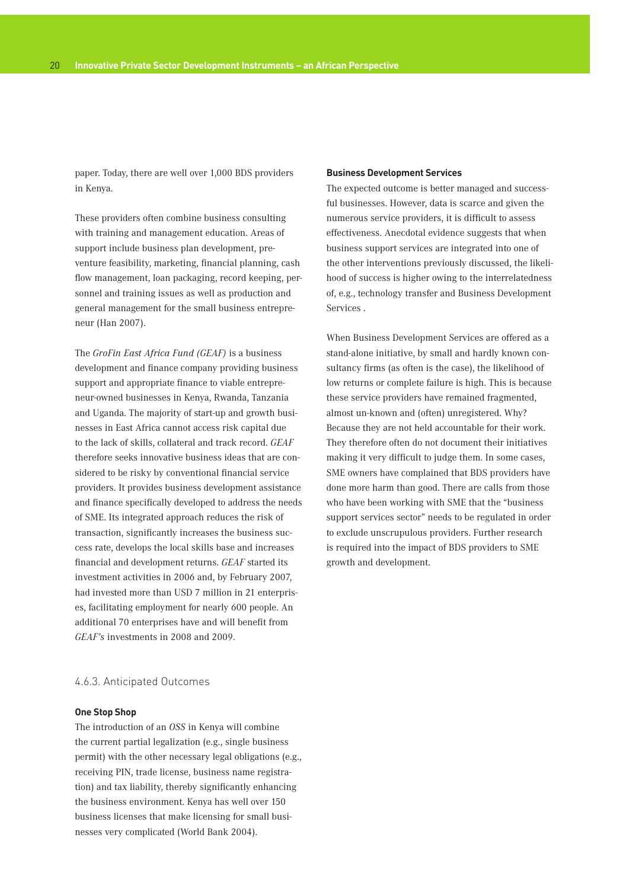paper. Today, there are well over 1,000 BDS providers in Kenya.

These providers often combine business consulting with training and management education. Areas of support include business plan development, preventure feasibility, marketing, financial planning, cash flow management, loan packaging, record keeping, personnel and training issues as well as production and general management for the small business entrepreneur (Han 2007).

The *GroFin East Africa Fund (GEAF)* is a business development and finance company providing business support and appropriate finance to viable entrepreneur-owned businesses in Kenya, Rwanda, Tanzania and Uganda. The majority of start-up and growth businesses in East Africa cannot access risk capital due to the lack of skills, collateral and track record. *GEAF*  therefore seeks innovative business ideas that are considered to be risky by conventional financial service providers. It provides business development assistance and finance specifically developed to address the needs of SME. Its integrated approach reduces the risk of transaction, significantly increases the business success rate, develops the local skills base and increases financial and development returns. *GEAF* started its investment activities in 2006 and, by February 2007, had invested more than USD 7 million in 21 enterprises, facilitating employment for nearly 600 people. An additional 70 enterprises have and will benefit from *GEAF's* investments in 2008 and 2009.

## 4.6.3. Anticipated Outcomes

## **One Stop Shop**

The introduction of an *OSS* in Kenya will combine the current partial legalization (e.g., single business permit) with the other necessary legal obligations (e.g., receiving PIN, trade license, business name registration) and tax liability, thereby significantly enhancing the business environment. Kenya has well over 150 business licenses that make licensing for small businesses very complicated (World Bank 2004).

## **Business Development Services**

The expected outcome is better managed and successful businesses. However, data is scarce and given the numerous service providers, it is difficult to assess effectiveness. Anecdotal evidence suggests that when business support services are integrated into one of the other interventions previously discussed, the likelihood of success is higher owing to the interrelatedness of, e.g., technology transfer and Business Development Services .

When Business Development Services are offered as a stand-alone initiative, by small and hardly known consultancy firms (as often is the case), the likelihood of low returns or complete failure is high. This is because these service providers have remained fragmented, almost un-known and (often) unregistered. Why? Because they are not held accountable for their work. They therefore often do not document their initiatives making it very difficult to judge them. In some cases, SME owners have complained that BDS providers have done more harm than good. There are calls from those who have been working with SME that the "business support services sector" needs to be regulated in order to exclude unscrupulous providers. Further research is required into the impact of BDS providers to SME growth and development.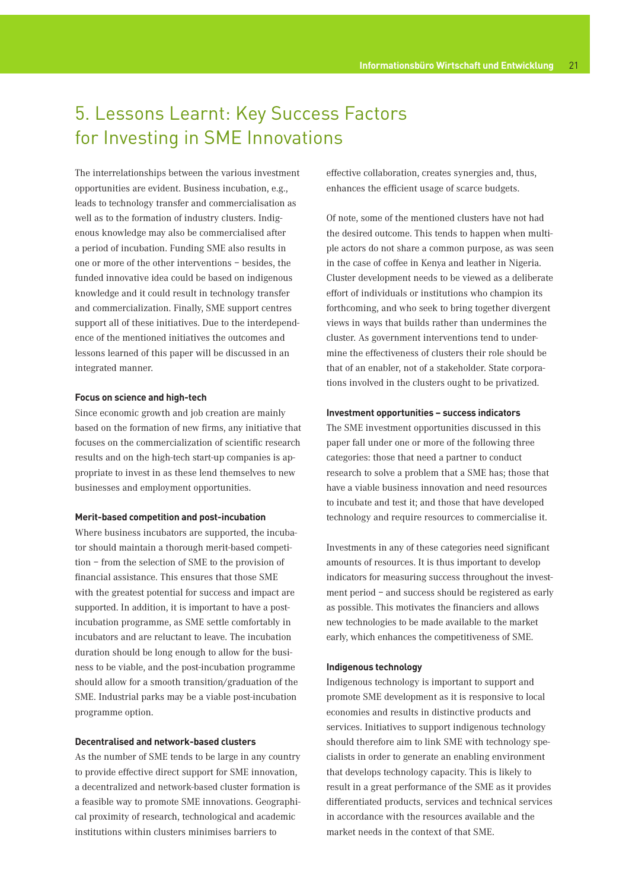## 5. Lessons Learnt: Key Success Factors for Investing in SME Innovations

The interrelationships between the various investment opportunities are evident. Business incubation, e.g., leads to technology transfer and commercialisation as well as to the formation of industry clusters. Indigenous knowledge may also be commercialised after a period of incubation. Funding SME also results in one or more of the other interventions – besides, the funded innovative idea could be based on indigenous knowledge and it could result in technology transfer and commercialization. Finally, SME support centres support all of these initiatives. Due to the interdependence of the mentioned initiatives the outcomes and lessons learned of this paper will be discussed in an integrated manner.

## **Focus on science and high-tech**

Since economic growth and job creation are mainly based on the formation of new firms, any initiative that focuses on the commercialization of scientific research results and on the high-tech start-up companies is appropriate to invest in as these lend themselves to new businesses and employment opportunities.

#### **Merit-based competition and post-incubation**

Where business incubators are supported, the incubator should maintain a thorough merit-based competition – from the selection of SME to the provision of financial assistance. This ensures that those SME with the greatest potential for success and impact are supported. In addition, it is important to have a postincubation programme, as SME settle comfortably in incubators and are reluctant to leave. The incubation duration should be long enough to allow for the business to be viable, and the post-incubation programme should allow for a smooth transition/graduation of the SME. Industrial parks may be a viable post-incubation programme option.

## **Decentralised and network-based clusters**

As the number of SME tends to be large in any country to provide effective direct support for SME innovation, a decentralized and network-based cluster formation is a feasible way to promote SME innovations. Geographical proximity of research, technological and academic institutions within clusters minimises barriers to

effective collaboration, creates synergies and, thus, enhances the efficient usage of scarce budgets.

Of note, some of the mentioned clusters have not had the desired outcome. This tends to happen when multiple actors do not share a common purpose, as was seen in the case of coffee in Kenya and leather in Nigeria. Cluster development needs to be viewed as a deliberate effort of individuals or institutions who champion its forthcoming, and who seek to bring together divergent views in ways that builds rather than undermines the cluster. As government interventions tend to undermine the effectiveness of clusters their role should be that of an enabler, not of a stakeholder. State corporations involved in the clusters ought to be privatized.

#### **Investment opportunities – success indicators**

The SME investment opportunities discussed in this paper fall under one or more of the following three categories: those that need a partner to conduct research to solve a problem that a SME has; those that have a viable business innovation and need resources to incubate and test it; and those that have developed technology and require resources to commercialise it.

Investments in any of these categories need significant amounts of resources. It is thus important to develop indicators for measuring success throughout the investment period – and success should be registered as early as possible. This motivates the financiers and allows new technologies to be made available to the market early, which enhances the competitiveness of SME.

### **Indigenous technology**

Indigenous technology is important to support and promote SME development as it is responsive to local economies and results in distinctive products and services. Initiatives to support indigenous technology should therefore aim to link SME with technology specialists in order to generate an enabling environment that develops technology capacity. This is likely to result in a great performance of the SME as it provides differentiated products, services and technical services in accordance with the resources available and the market needs in the context of that SME.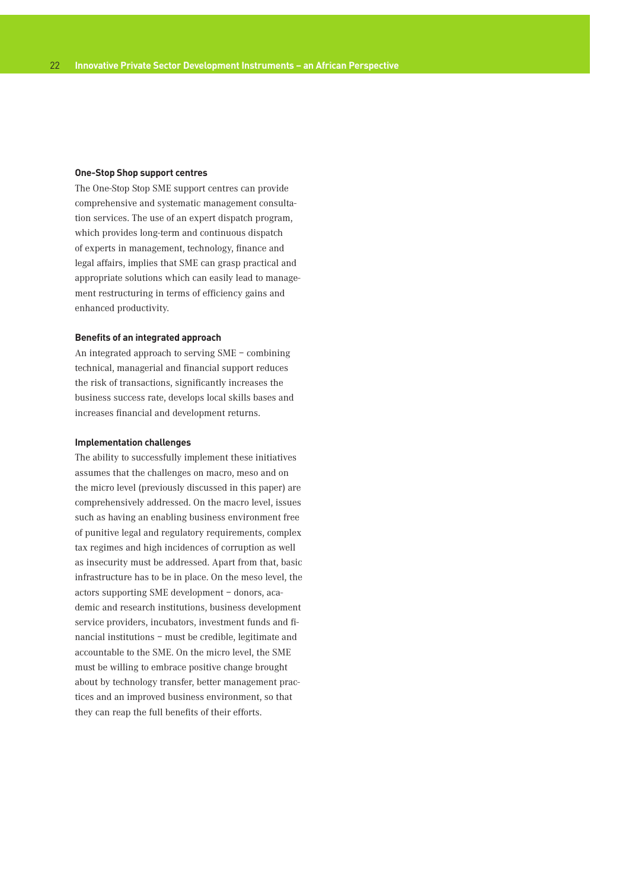### **One-Stop Shop support centres**

The One-Stop Stop SME support centres can provide comprehensive and systematic management consultation services. The use of an expert dispatch program, which provides long-term and continuous dispatch of experts in management, technology, finance and legal affairs, implies that SME can grasp practical and appropriate solutions which can easily lead to management restructuring in terms of efficiency gains and enhanced productivity.

### **Benefits of an integrated approach**

An integrated approach to serving SME – combining technical, managerial and financial support reduces the risk of transactions, significantly increases the business success rate, develops local skills bases and increases financial and development returns.

#### **Implementation challenges**

The ability to successfully implement these initiatives assumes that the challenges on macro, meso and on the micro level (previously discussed in this paper) are comprehensively addressed. On the macro level, issues such as having an enabling business environment free of punitive legal and regulatory requirements, complex tax regimes and high incidences of corruption as well as insecurity must be addressed. Apart from that, basic infrastructure has to be in place. On the meso level, the actors supporting SME development – donors, academic and research institutions, business development service providers, incubators, investment funds and financial institutions – must be credible, legitimate and accountable to the SME. On the micro level, the SME must be willing to embrace positive change brought about by technology transfer, better management practices and an improved business environment, so that they can reap the full benefits of their efforts.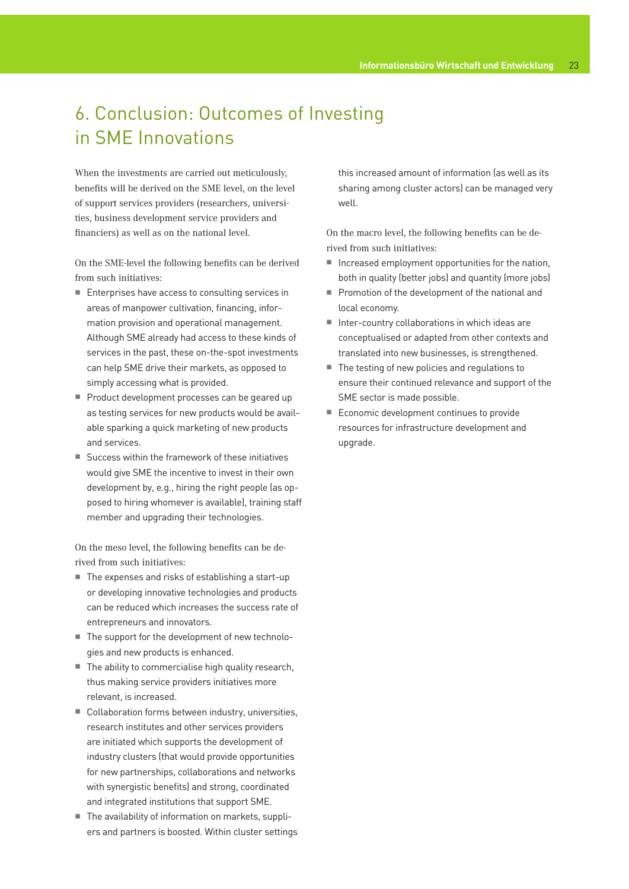## 6. Conclusion: Outcomes of Investing in SME Innovations

When the investments are carried out meticulously, benefits will be derived on the SME level, on the level of support services providers (researchers, universities, business development service providers and financiers) as well as on the national level.

On the SME-level the following benefits can be derived from such initiatives:

- Enterprises have access to consulting services in areas of manpower cultivation, financing, information provision and operational management. Although SME already had access to these kinds of services in the past, these on-the-spot investments can help SME drive their markets, as opposed to simply accessing what is provided.
- Product development processes can be geared up as testing services for new products would be available sparking a quick marketing of new products and services.
- Success within the framework of these initiatives would give SME the incentive to invest in their own development by, e.g., hiring the right people (as opposed to hiring whomever is available), training staff member and upgrading their technologies.

On the meso level, the following benefits can be derived from such initiatives:

- $\blacksquare$  The expenses and risks of establishing a start-up or developing innovative technologies and products can be reduced which increases the success rate of entrepreneurs and innovators.
- The support for the development of new technologies and new products is enhanced.
- The ability to commercialise high quality research, thus making service providers initiatives more relevant, is increased.
- Collaboration forms between industry, universities, research institutes and other services providers are initiated which supports the development of industry clusters (that would provide opportunities for new partnerships, collaborations and networks with synergistic benefits) and strong, coordinated and integrated institutions that support SME.
- The availability of information on markets, suppliers and partners is boosted. Within cluster settings

this increased amount of information (as well as its sharing among cluster actors) can be managed very well.

On the macro level, the following benefits can be derived from such initiatives:

- $\blacksquare$  Increased employment opportunities for the nation, both in quality (better jobs) and quantity (more jobs)
- **Promotion of the development of the national and** local economy.
- Inter-country collaborations in which ideas are conceptualised or adapted from other contexts and translated into new businesses, is strengthened.
- The testing of new policies and regulations to ensure their continued relevance and support of the SME sector is made possible.
- Economic development continues to provide resources for infrastructure development and upgrade.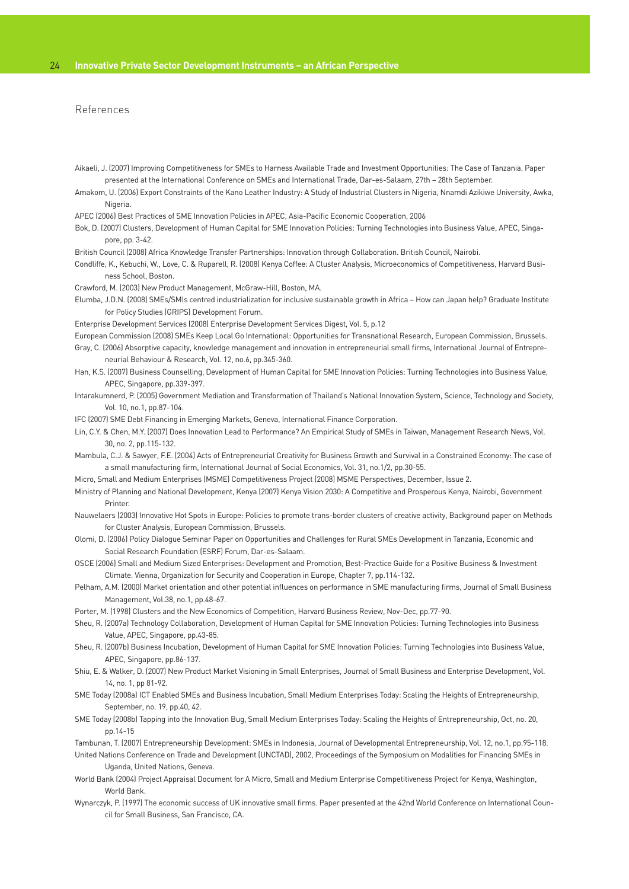## References

- Aikaeli, J. (2007) Improving Competitiveness for SMEs to Harness Available Trade and Investment Opportunities: The Case of Tanzania. Paper presented at the International Conference on SMEs and International Trade, Dar-es-Salaam, 27th – 28th September.
- Amakom, U. (2006) Export Constraints of the Kano Leather Industry: A Study of Industrial Clusters in Nigeria, Nnamdi Azikiwe University, Awka, Nigeria.
- APEC (2006) Best Practices of SME Innovation Policies in APEC, Asia-Pacific Economic Cooperation, 2006
- Bok, D. (2007) Clusters, Development of Human Capital for SME Innovation Policies: Turning Technologies into Business Value, APEC, Singapore, pp. 3-42.
- British Council (2008) Africa Knowledge Transfer Partnerships: Innovation through Collaboration. British Council, Nairobi.
- Condliffe, K., Kebuchi, W., Love, C. & Ruparell, R. (2008) Kenya Coffee: A Cluster Analysis, Microeconomics of Competitiveness, Harvard Business School, Boston.
- Crawford, M. (2003) New Product Management, McGraw-Hill, Boston, MA.
- Elumba, J.D.N. (2008) SMEs/SMIs centred industrialization for inclusive sustainable growth in Africa How can Japan help? Graduate Institute for Policy Studies (GRIPS) Development Forum.
- Enterprise Development Services (2008) Enterprise Development Services Digest, Vol. 5, p.12
- European Commission (2008) SMEs Keep Local Go International: Opportunities for Transnational Research, European Commission, Brussels.
- Gray, C. (2006) Absorptive capacity, knowledge management and innovation in entrepreneurial small firms, International Journal of Entrepreneurial Behaviour & Research, Vol. 12, no.6, pp.345-360.
- Han, K.S. (2007) Business Counselling, Development of Human Capital for SME Innovation Policies: Turning Technologies into Business Value, APEC, Singapore, pp.339-397.
- Intarakumnerd, P. (2005) Government Mediation and Transformation of Thailand's National Innovation System, Science, Technology and Society, Vol. 10, no.1, pp.87-104.
- IFC (2007) SME Debt Financing in Emerging Markets, Geneva, International Finance Corporation.
- Lin, C.Y. & Chen, M.Y. (2007) Does Innovation Lead to Performance? An Empirical Study of SMEs in Taiwan, Management Research News, Vol. 30, no. 2, pp.115-132.
- Mambula, C.J. & Sawyer, F.E. (2004) Acts of Entrepreneurial Creativity for Business Growth and Survival in a Constrained Economy: The case of a small manufacturing firm, International Journal of Social Economics, Vol. 31, no.1/2, pp.30-55.
- Micro, Small and Medium Enterprises (MSME) Competitiveness Project (2008) MSME Perspectives, December, Issue 2.
- Ministry of Planning and National Development, Kenya (2007) Kenya Vision 2030: A Competitive and Prosperous Kenya, Nairobi, Government Printer.
- Nauwelaers (2003) Innovative Hot Spots in Europe: Policies to promote trans-border clusters of creative activity, Background paper on Methods for Cluster Analysis, European Commission, Brussels.
- Olomi, D. (2006) Policy Dialogue Seminar Paper on Opportunities and Challenges for Rural SMEs Development in Tanzania, Economic and Social Research Foundation (ESRF) Forum, Dar-es-Salaam.
- OSCE (2006) Small and Medium Sized Enterprises: Development and Promotion, Best-Practice Guide for a Positive Business & Investment Climate. Vienna, Organization for Security and Cooperation in Europe, Chapter 7, pp.114-132.
- Pelham, A.M. (2000) Market orientation and other potential influences on performance in SME manufacturing firms, Journal of Small Business Management, Vol.38, no.1, pp.48-67.
- Porter, M. (1998) Clusters and the New Economics of Competition, Harvard Business Review, Nov-Dec, pp.77-90.
- Sheu, R. (2007a) Technology Collaboration, Development of Human Capital for SME Innovation Policies: Turning Technologies into Business Value, APEC, Singapore, pp.43-85.
- Sheu, R. (2007b) Business Incubation, Development of Human Capital for SME Innovation Policies: Turning Technologies into Business Value, APEC, Singapore, pp.86-137.
- Shiu, E. & Walker, D. (2007) New Product Market Visioning in Small Enterprises, Journal of Small Business and Enterprise Development, Vol. 14, no. 1, pp 81-92.
- SME Today (2008a) ICT Enabled SMEs and Business Incubation, Small Medium Enterprises Today: Scaling the Heights of Entrepreneurship, September, no. 19, pp.40, 42.
- SME Today (2008b) Tapping into the Innovation Bug, Small Medium Enterprises Today: Scaling the Heights of Entrepreneurship, Oct, no. 20, pp.14-15
- Tambunan, T. (2007) Entrepreneurship Development: SMEs in Indonesia, Journal of Developmental Entrepreneurship, Vol. 12, no.1, pp.95-118.
- United Nations Conference on Trade and Development (UNCTAD), 2002, Proceedings of the Symposium on Modalities for Financing SMEs in Uganda, United Nations, Geneva.
- World Bank (2004) Project Appraisal Document for A Micro, Small and Medium Enterprise Competitiveness Project for Kenya, Washington, World Bank.
- Wynarczyk, P. (1997) The economic success of UK innovative small firms. Paper presented at the 42nd World Conference on International Council for Small Business, San Francisco, CA.